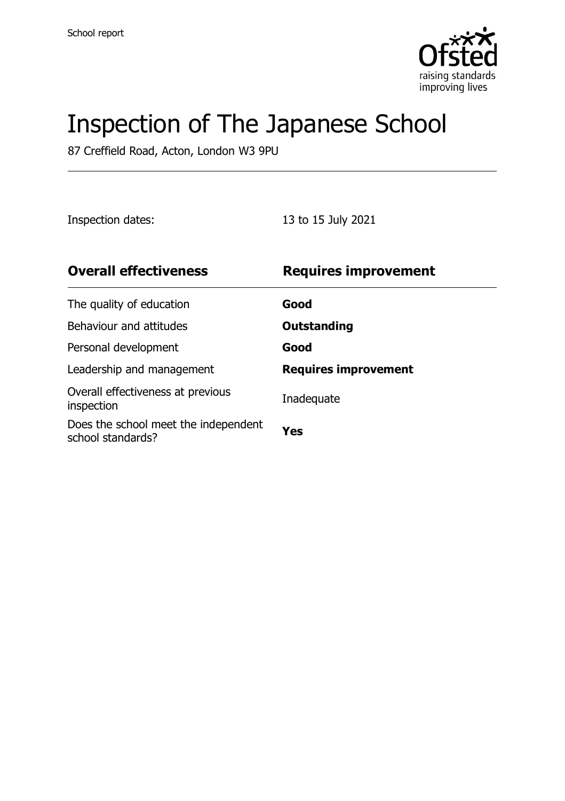

# Inspection of The Japanese School

87 Creffield Road, Acton, London W3 9PU

Inspection dates: 13 to 15 July 2021

| <b>Overall effectiveness</b>                              | <b>Requires improvement</b> |
|-----------------------------------------------------------|-----------------------------|
| The quality of education                                  | Good                        |
| Behaviour and attitudes                                   | <b>Outstanding</b>          |
| Personal development                                      | Good                        |
| Leadership and management                                 | <b>Requires improvement</b> |
| Overall effectiveness at previous<br>inspection           | Inadequate                  |
| Does the school meet the independent<br>school standards? | Yes                         |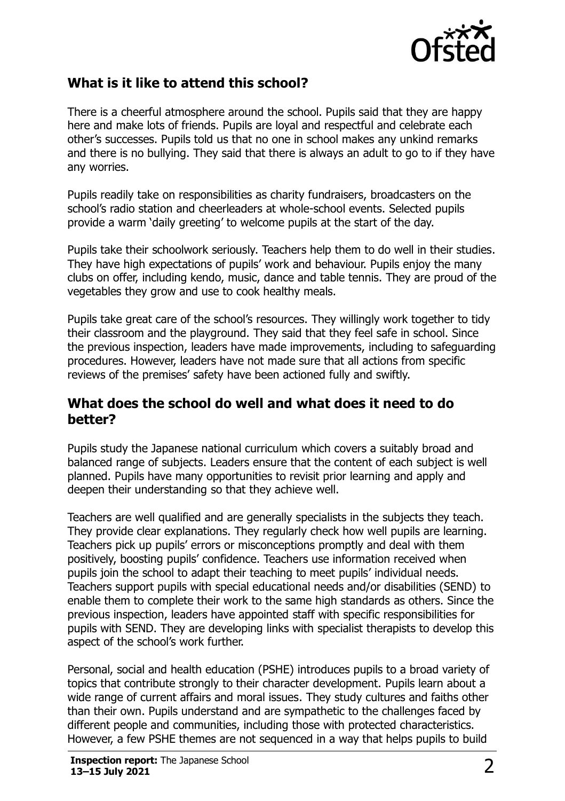

# **What is it like to attend this school?**

There is a cheerful atmosphere around the school. Pupils said that they are happy here and make lots of friends. Pupils are loyal and respectful and celebrate each other's successes. Pupils told us that no one in school makes any unkind remarks and there is no bullying. They said that there is always an adult to go to if they have any worries.

Pupils readily take on responsibilities as charity fundraisers, broadcasters on the school's radio station and cheerleaders at whole-school events. Selected pupils provide a warm 'daily greeting' to welcome pupils at the start of the day.

Pupils take their schoolwork seriously. Teachers help them to do well in their studies. They have high expectations of pupils' work and behaviour. Pupils enjoy the many clubs on offer, including kendo, music, dance and table tennis. They are proud of the vegetables they grow and use to cook healthy meals.

Pupils take great care of the school's resources. They willingly work together to tidy their classroom and the playground. They said that they feel safe in school. Since the previous inspection, leaders have made improvements, including to safeguarding procedures. However, leaders have not made sure that all actions from specific reviews of the premises' safety have been actioned fully and swiftly.

### **What does the school do well and what does it need to do better?**

Pupils study the Japanese national curriculum which covers a suitably broad and balanced range of subjects. Leaders ensure that the content of each subject is well planned. Pupils have many opportunities to revisit prior learning and apply and deepen their understanding so that they achieve well.

Teachers are well qualified and are generally specialists in the subjects they teach. They provide clear explanations. They regularly check how well pupils are learning. Teachers pick up pupils' errors or misconceptions promptly and deal with them positively, boosting pupils' confidence. Teachers use information received when pupils join the school to adapt their teaching to meet pupils' individual needs. Teachers support pupils with special educational needs and/or disabilities (SEND) to enable them to complete their work to the same high standards as others. Since the previous inspection, leaders have appointed staff with specific responsibilities for pupils with SEND. They are developing links with specialist therapists to develop this aspect of the school's work further.

Personal, social and health education (PSHE) introduces pupils to a broad variety of topics that contribute strongly to their character development. Pupils learn about a wide range of current affairs and moral issues. They study cultures and faiths other than their own. Pupils understand and are sympathetic to the challenges faced by different people and communities, including those with protected characteristics. However, a few PSHE themes are not sequenced in a way that helps pupils to build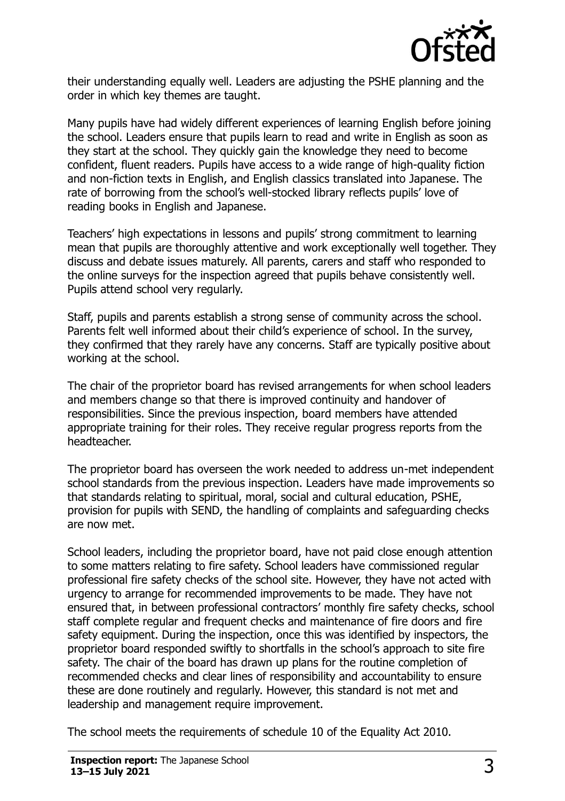

their understanding equally well. Leaders are adjusting the PSHE planning and the order in which key themes are taught.

Many pupils have had widely different experiences of learning English before joining the school. Leaders ensure that pupils learn to read and write in English as soon as they start at the school. They quickly gain the knowledge they need to become confident, fluent readers. Pupils have access to a wide range of high-quality fiction and non-fiction texts in English, and English classics translated into Japanese. The rate of borrowing from the school's well-stocked library reflects pupils' love of reading books in English and Japanese.

Teachers' high expectations in lessons and pupils' strong commitment to learning mean that pupils are thoroughly attentive and work exceptionally well together. They discuss and debate issues maturely. All parents, carers and staff who responded to the online surveys for the inspection agreed that pupils behave consistently well. Pupils attend school very regularly.

Staff, pupils and parents establish a strong sense of community across the school. Parents felt well informed about their child's experience of school. In the survey, they confirmed that they rarely have any concerns. Staff are typically positive about working at the school.

The chair of the proprietor board has revised arrangements for when school leaders and members change so that there is improved continuity and handover of responsibilities. Since the previous inspection, board members have attended appropriate training for their roles. They receive regular progress reports from the headteacher.

The proprietor board has overseen the work needed to address un-met independent school standards from the previous inspection. Leaders have made improvements so that standards relating to spiritual, moral, social and cultural education, PSHE, provision for pupils with SEND, the handling of complaints and safeguarding checks are now met.

School leaders, including the proprietor board, have not paid close enough attention to some matters relating to fire safety. School leaders have commissioned regular professional fire safety checks of the school site. However, they have not acted with urgency to arrange for recommended improvements to be made. They have not ensured that, in between professional contractors' monthly fire safety checks, school staff complete regular and frequent checks and maintenance of fire doors and fire safety equipment. During the inspection, once this was identified by inspectors, the proprietor board responded swiftly to shortfalls in the school's approach to site fire safety. The chair of the board has drawn up plans for the routine completion of recommended checks and clear lines of responsibility and accountability to ensure these are done routinely and regularly. However, this standard is not met and leadership and management require improvement.

The school meets the requirements of schedule 10 of the Equality Act 2010.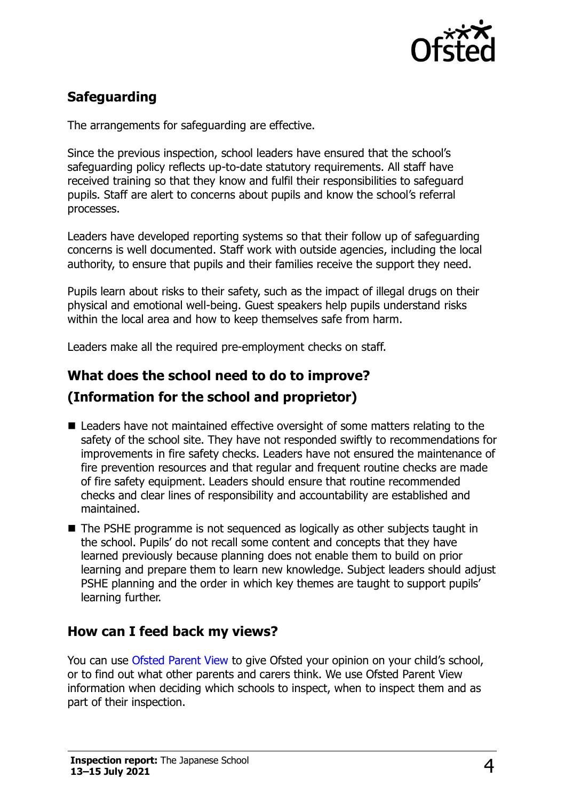

# **Safeguarding**

The arrangements for safeguarding are effective.

Since the previous inspection, school leaders have ensured that the school's safeguarding policy reflects up-to-date statutory requirements. All staff have received training so that they know and fulfil their responsibilities to safeguard pupils. Staff are alert to concerns about pupils and know the school's referral processes.

Leaders have developed reporting systems so that their follow up of safeguarding concerns is well documented. Staff work with outside agencies, including the local authority, to ensure that pupils and their families receive the support they need.

Pupils learn about risks to their safety, such as the impact of illegal drugs on their physical and emotional well-being. Guest speakers help pupils understand risks within the local area and how to keep themselves safe from harm.

Leaders make all the required pre-employment checks on staff.

# **What does the school need to do to improve?**

# **(Information for the school and proprietor)**

- Leaders have not maintained effective oversight of some matters relating to the safety of the school site. They have not responded swiftly to recommendations for improvements in fire safety checks. Leaders have not ensured the maintenance of fire prevention resources and that regular and frequent routine checks are made of fire safety equipment. Leaders should ensure that routine recommended checks and clear lines of responsibility and accountability are established and maintained.
- The PSHE programme is not sequenced as logically as other subjects taught in the school. Pupils' do not recall some content and concepts that they have learned previously because planning does not enable them to build on prior learning and prepare them to learn new knowledge. Subject leaders should adjust PSHE planning and the order in which key themes are taught to support pupils' learning further.

## **How can I feed back my views?**

You can use [Ofsted Parent View](http://parentview.ofsted.gov.uk/) to give Ofsted your opinion on your child's school, or to find out what other parents and carers think. We use Ofsted Parent View information when deciding which schools to inspect, when to inspect them and as part of their inspection.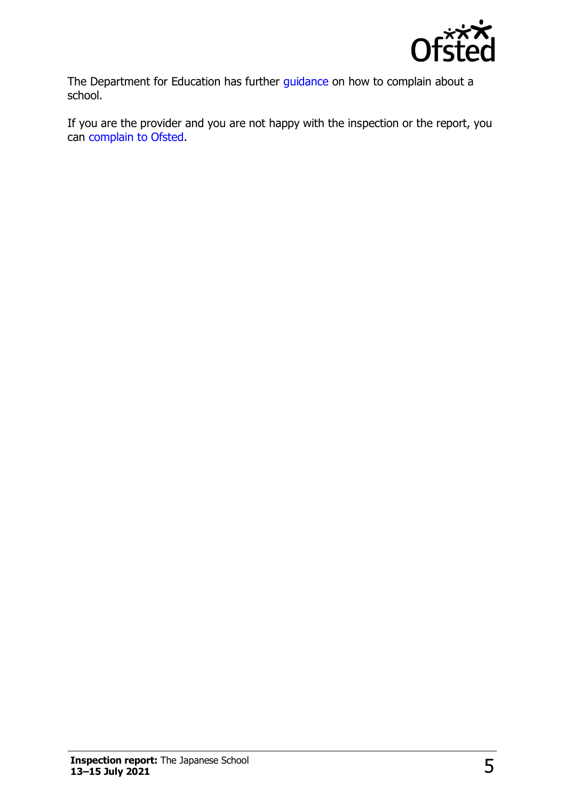

The Department for Education has further [guidance](http://www.gov.uk/complain-about-school) on how to complain about a school.

If you are the provider and you are not happy with the inspection or the report, you can [complain to Ofsted.](http://www.gov.uk/complain-ofsted-report)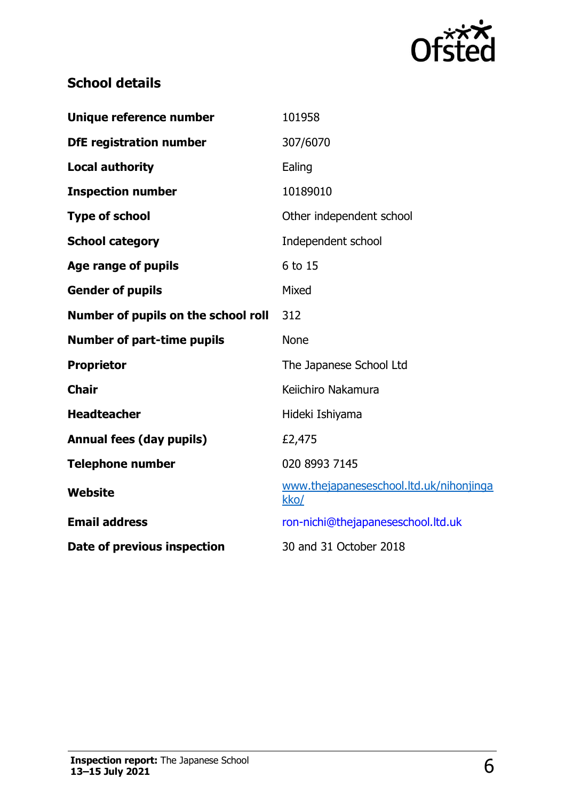

# **School details**

| Unique reference number             | 101958                                          |  |
|-------------------------------------|-------------------------------------------------|--|
| <b>DfE registration number</b>      | 307/6070                                        |  |
| <b>Local authority</b>              | Ealing                                          |  |
| <b>Inspection number</b>            | 10189010                                        |  |
| <b>Type of school</b>               | Other independent school                        |  |
| <b>School category</b>              | Independent school                              |  |
| Age range of pupils                 | 6 to 15                                         |  |
| <b>Gender of pupils</b>             | Mixed                                           |  |
| Number of pupils on the school roll | 312                                             |  |
| <b>Number of part-time pupils</b>   | <b>None</b>                                     |  |
| <b>Proprietor</b>                   | The Japanese School Ltd                         |  |
| <b>Chair</b>                        | Keiichiro Nakamura                              |  |
| <b>Headteacher</b>                  | Hideki Ishiyama                                 |  |
| <b>Annual fees (day pupils)</b>     | £2,475                                          |  |
| <b>Telephone number</b>             | 020 8993 7145                                   |  |
| <b>Website</b>                      | www.thejapaneseschool.ltd.uk/nihonjinga<br>kko/ |  |
| <b>Email address</b>                | ron-nichi@thejapaneseschool.ltd.uk              |  |
| Date of previous inspection         | 30 and 31 October 2018                          |  |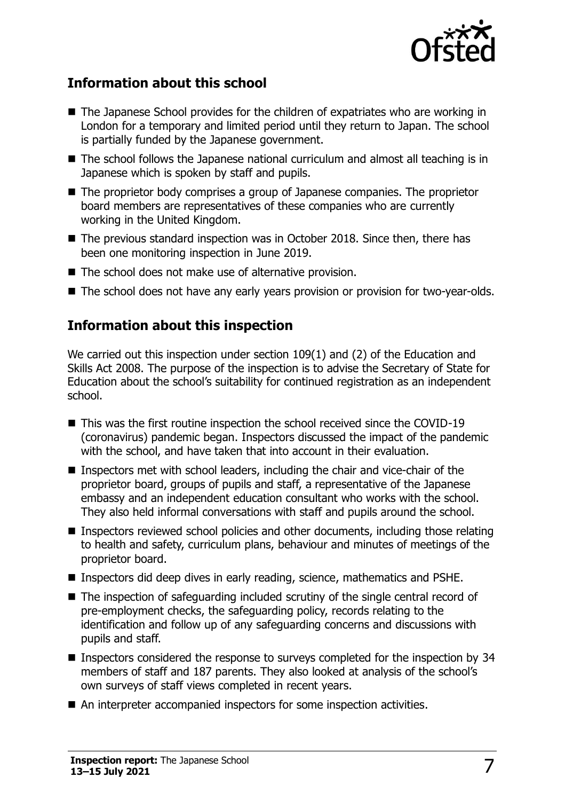

# **Information about this school**

- The Japanese School provides for the children of expatriates who are working in London for a temporary and limited period until they return to Japan. The school is partially funded by the Japanese government.
- The school follows the Japanese national curriculum and almost all teaching is in Japanese which is spoken by staff and pupils.
- The proprietor body comprises a group of Japanese companies. The proprietor board members are representatives of these companies who are currently working in the United Kingdom.
- The previous standard inspection was in October 2018. Since then, there has been one monitoring inspection in June 2019.
- The school does not make use of alternative provision.
- The school does not have any early years provision or provision for two-year-olds.

## **Information about this inspection**

We carried out this inspection under section 109(1) and (2) of the Education and Skills Act 2008. The purpose of the inspection is to advise the Secretary of State for Education about the school's suitability for continued registration as an independent school.

- This was the first routine inspection the school received since the COVID-19 (coronavirus) pandemic began. Inspectors discussed the impact of the pandemic with the school, and have taken that into account in their evaluation.
- Inspectors met with school leaders, including the chair and vice-chair of the proprietor board, groups of pupils and staff, a representative of the Japanese embassy and an independent education consultant who works with the school. They also held informal conversations with staff and pupils around the school.
- Inspectors reviewed school policies and other documents, including those relating to health and safety, curriculum plans, behaviour and minutes of meetings of the proprietor board.
- Inspectors did deep dives in early reading, science, mathematics and PSHE.
- The inspection of safeguarding included scrutiny of the single central record of pre-employment checks, the safeguarding policy, records relating to the identification and follow up of any safeguarding concerns and discussions with pupils and staff.
- Inspectors considered the response to surveys completed for the inspection by 34 members of staff and 187 parents. They also looked at analysis of the school's own surveys of staff views completed in recent years.
- An interpreter accompanied inspectors for some inspection activities.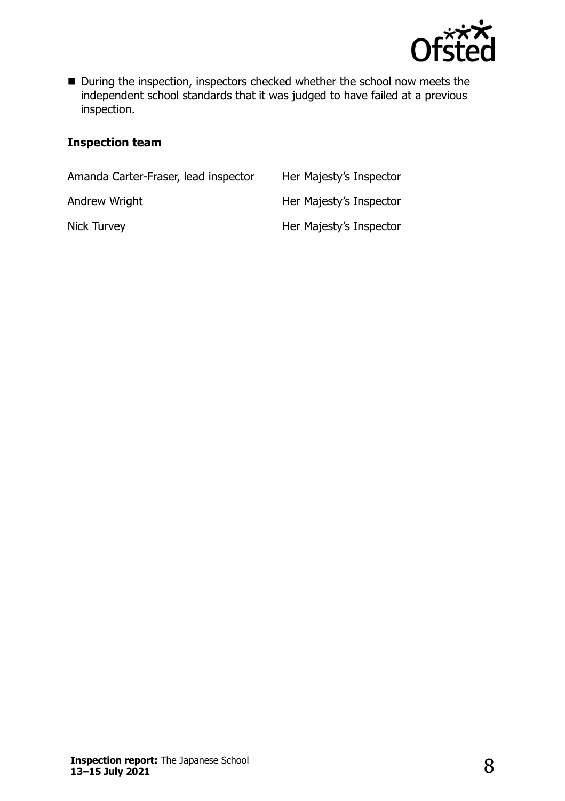

■ During the inspection, inspectors checked whether the school now meets the independent school standards that it was judged to have failed at a previous inspection.

#### **Inspection team**

| Amanda Carter-Fraser, lead inspector | Her Majesty's Inspector |
|--------------------------------------|-------------------------|
| Andrew Wright                        | Her Majesty's Inspector |
| Nick Turvey                          | Her Majesty's Inspector |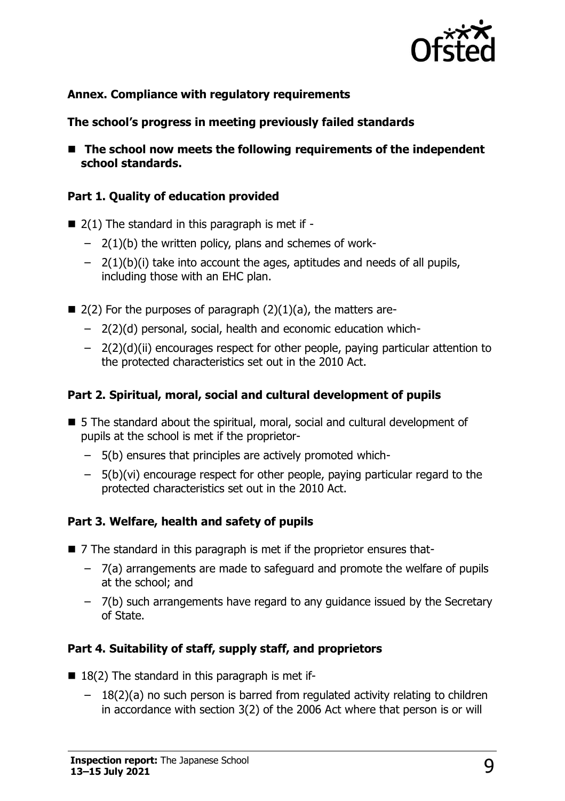

#### **Annex. Compliance with regulatory requirements**

#### **The school's progress in meeting previously failed standards**

■ The school now meets the following requirements of the independent **school standards.**

#### **Part 1. Quality of education provided**

- $\blacksquare$  2(1) The standard in this paragraph is met if -
	- $-$  2(1)(b) the written policy, plans and schemes of work-
	- 2(1)(b)(i) take into account the ages, aptitudes and needs of all pupils, including those with an EHC plan.
- $\blacksquare$  2(2) For the purposes of paragraph (2)(1)(a), the matters are-
	- 2(2)(d) personal, social, health and economic education which-
	- 2(2)(d)(ii) encourages respect for other people, paying particular attention to the protected characteristics set out in the 2010 Act.

#### **Part 2. Spiritual, moral, social and cultural development of pupils**

- 5 The standard about the spiritual, moral, social and cultural development of pupils at the school is met if the proprietor-
	- 5(b) ensures that principles are actively promoted which-
	- 5(b)(vi) encourage respect for other people, paying particular regard to the protected characteristics set out in the 2010 Act.

#### **Part 3. Welfare, health and safety of pupils**

- 7 The standard in this paragraph is met if the proprietor ensures that-
	- 7(a) arrangements are made to safeguard and promote the welfare of pupils at the school; and
	- 7(b) such arrangements have regard to any guidance issued by the Secretary of State.

#### **Part 4. Suitability of staff, supply staff, and proprietors**

- $\blacksquare$  18(2) The standard in this paragraph is met if-
	- 18(2)(a) no such person is barred from regulated activity relating to children in accordance with section 3(2) of the 2006 Act where that person is or will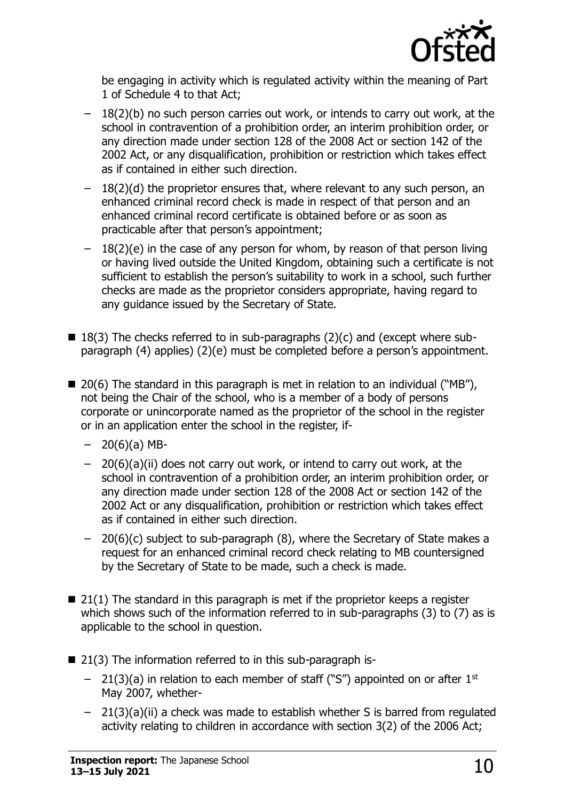

be engaging in activity which is regulated activity within the meaning of Part 1 of Schedule 4 to that Act;

- 18(2)(b) no such person carries out work, or intends to carry out work, at the school in contravention of a prohibition order, an interim prohibition order, or any direction made under section 128 of the 2008 Act or section 142 of the 2002 Act, or any disqualification, prohibition or restriction which takes effect as if contained in either such direction.
- $-18(2)(d)$  the proprietor ensures that, where relevant to any such person, an enhanced criminal record check is made in respect of that person and an enhanced criminal record certificate is obtained before or as soon as practicable after that person's appointment;
- $-18(2)(e)$  in the case of any person for whom, by reason of that person living or having lived outside the United Kingdom, obtaining such a certificate is not sufficient to establish the person's suitability to work in a school, such further checks are made as the proprietor considers appropriate, having regard to any guidance issued by the Secretary of State.
- $\blacksquare$  18(3) The checks referred to in sub-paragraphs (2)(c) and (except where subparagraph (4) applies) (2)(e) must be completed before a person's appointment.
- $\blacksquare$  20(6) The standard in this paragraph is met in relation to an individual ("MB"), not being the Chair of the school, who is a member of a body of persons corporate or unincorporate named as the proprietor of the school in the register or in an application enter the school in the register, if-
	- $-20(6)(a) MB$
	- 20(6)(a)(ii) does not carry out work, or intend to carry out work, at the school in contravention of a prohibition order, an interim prohibition order, or any direction made under section 128 of the 2008 Act or section 142 of the 2002 Act or any disqualification, prohibition or restriction which takes effect as if contained in either such direction.
	- 20(6)(c) subject to sub-paragraph (8), where the Secretary of State makes a request for an enhanced criminal record check relating to MB countersigned by the Secretary of State to be made, such a check is made.
- $\blacksquare$  21(1) The standard in this paragraph is met if the proprietor keeps a register which shows such of the information referred to in sub-paragraphs (3) to (7) as is applicable to the school in question.
- 21(3) The information referred to in this sub-paragraph is-
	- $-$  21(3)(a) in relation to each member of staff ("S") appointed on or after 1st May 2007, whether-
	- 21(3)(a)(ii) a check was made to establish whether S is barred from regulated activity relating to children in accordance with section 3(2) of the 2006 Act;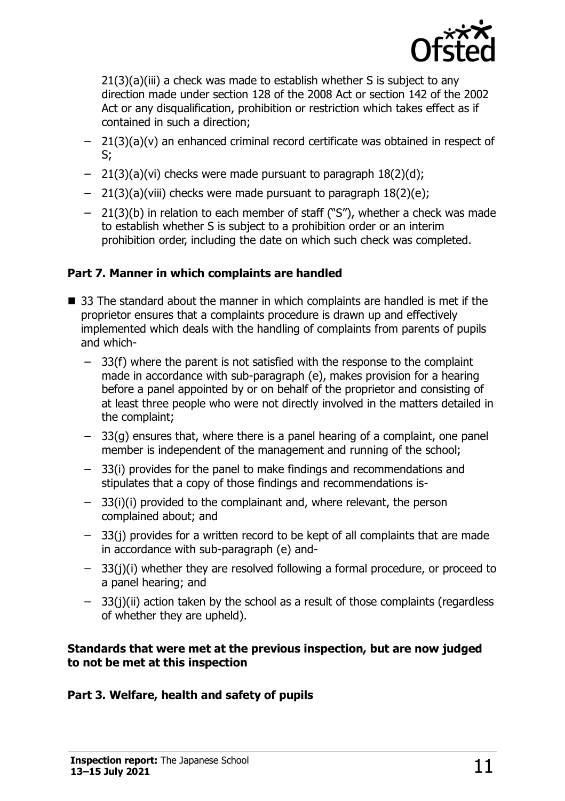

21(3)(a)(iii) a check was made to establish whether S is subject to any direction made under section 128 of the 2008 Act or section 142 of the 2002 Act or any disqualification, prohibition or restriction which takes effect as if contained in such a direction;

- $-$  21(3)(a)(v) an enhanced criminal record certificate was obtained in respect of S;
- $-$  21(3)(a)(vi) checks were made pursuant to paragraph  $18(2)(d)$ ;
- 21(3)(a)(viii) checks were made pursuant to paragraph 18(2)(e);
- 21(3)(b) in relation to each member of staff ("S"), whether a check was made to establish whether S is subject to a prohibition order or an interim prohibition order, including the date on which such check was completed.

#### **Part 7. Manner in which complaints are handled**

- 33 The standard about the manner in which complaints are handled is met if the proprietor ensures that a complaints procedure is drawn up and effectively implemented which deals with the handling of complaints from parents of pupils and which-
	- 33(f) where the parent is not satisfied with the response to the complaint made in accordance with sub-paragraph (e), makes provision for a hearing before a panel appointed by or on behalf of the proprietor and consisting of at least three people who were not directly involved in the matters detailed in the complaint;
	- $-$  33(g) ensures that, where there is a panel hearing of a complaint, one panel member is independent of the management and running of the school;
	- 33(i) provides for the panel to make findings and recommendations and stipulates that a copy of those findings and recommendations is-
	- 33(i)(i) provided to the complainant and, where relevant, the person complained about; and
	- 33(j) provides for a written record to be kept of all complaints that are made in accordance with sub-paragraph (e) and-
	- 33(j)(i) whether they are resolved following a formal procedure, or proceed to a panel hearing; and
	- 33(j)(ii) action taken by the school as a result of those complaints (regardless of whether they are upheld).

#### **Standards that were met at the previous inspection, but are now judged to not be met at this inspection**

#### **Part 3. Welfare, health and safety of pupils**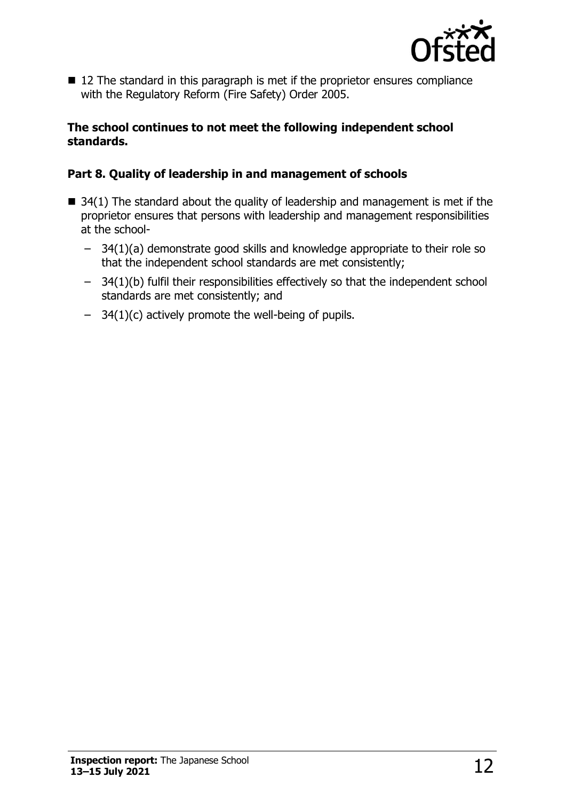

■ 12 The standard in this paragraph is met if the proprietor ensures compliance with the Regulatory Reform (Fire Safety) Order 2005.

#### **The school continues to not meet the following independent school standards.**

#### **Part 8. Quality of leadership in and management of schools**

- $\blacksquare$  34(1) The standard about the quality of leadership and management is met if the proprietor ensures that persons with leadership and management responsibilities at the school-
	- 34(1)(a) demonstrate good skills and knowledge appropriate to their role so that the independent school standards are met consistently;
	- 34(1)(b) fulfil their responsibilities effectively so that the independent school standards are met consistently; and
	- 34(1)(c) actively promote the well-being of pupils.